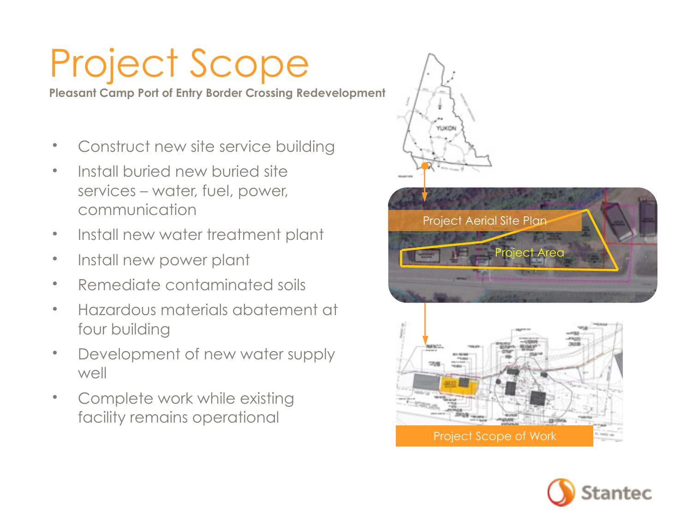# Project Scope

**Pleasant Camp Port of Entry Border Crossing Redevelopment**

- Construct new site service building
- Install buried new buried site services – water, fuel, power, communication
- Install new water treatment plant
- Install new power plant
- Remediate contaminated soils
- Hazardous materials abatement at four building
- Development of new water supply well
- Complete work while existing facility remains operational



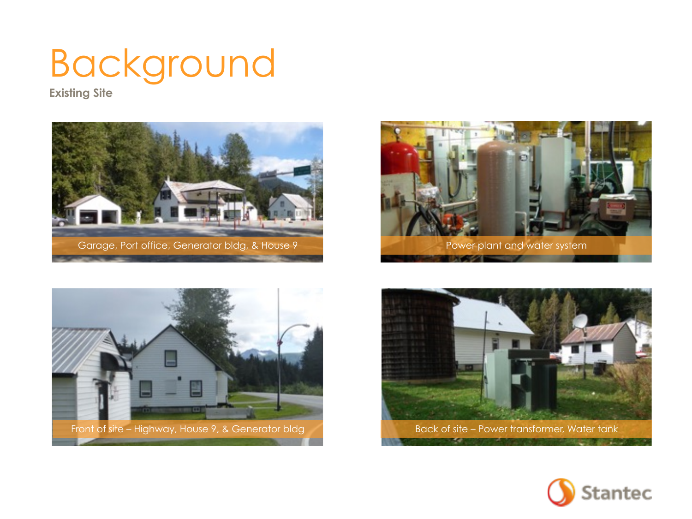## Background

**Existing Site**









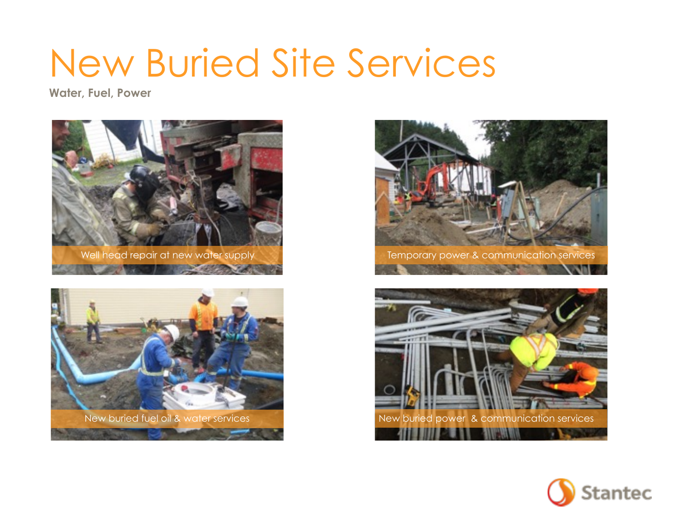### New Buried Site Services

**Water, Fuel, Power**









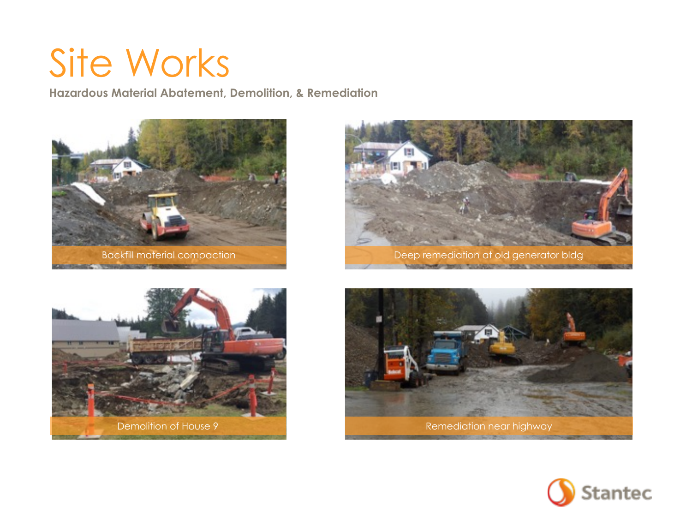#### Site Works

**Hazardous Material Abatement, Demolition, & Remediation**